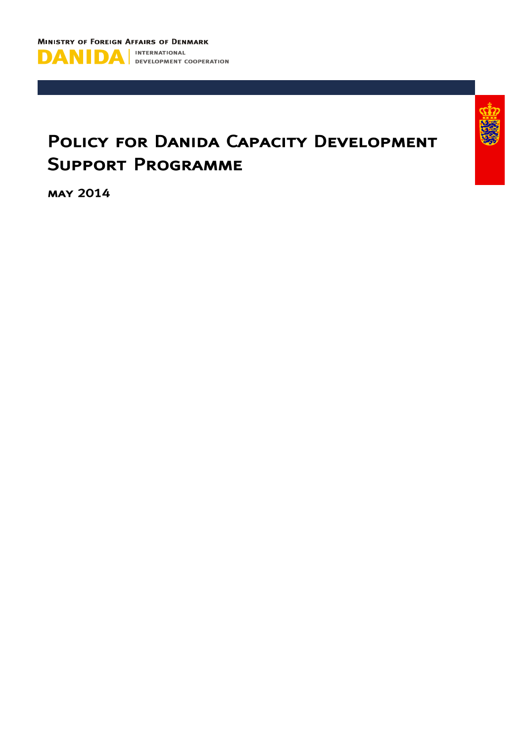



# POLICY FOR DANIDA CAPACITY DEVELOPMENT **SUPPORT PROGRAMME**

**MAY 2014**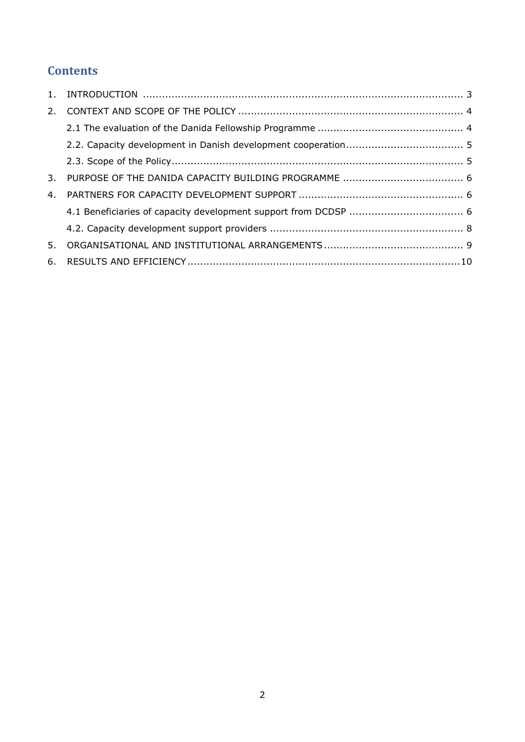# **Contents**

| 3. |  |
|----|--|
| 4. |  |
|    |  |
|    |  |
| 5. |  |
|    |  |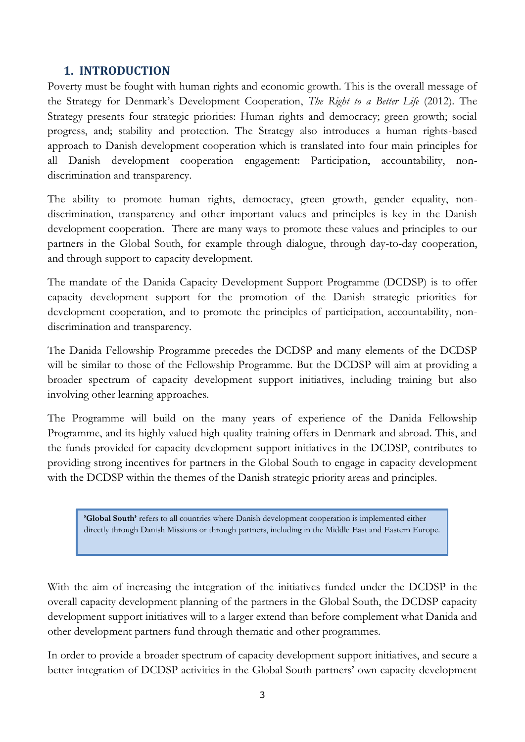# **1. INTRODUCTION**

<span id="page-2-0"></span>Poverty must be fought with human rights and economic growth. This is the overall message of the Strategy for Denmark's Development Cooperation, *The Right to a Better Life* (2012). The Strategy presents four strategic priorities: Human rights and democracy; green growth; social progress, and; stability and protection. The Strategy also introduces a human rights-based approach to Danish development cooperation which is translated into four main principles for all Danish development cooperation engagement: Participation, accountability, nondiscrimination and transparency.

The ability to promote human rights, democracy, green growth, gender equality, nondiscrimination, transparency and other important values and principles is key in the Danish development cooperation. There are many ways to promote these values and principles to our partners in the Global South, for example through dialogue, through day-to-day cooperation, and through support to capacity development.

The mandate of the Danida Capacity Development Support Programme (DCDSP) is to offer capacity development support for the promotion of the Danish strategic priorities for development cooperation, and to promote the principles of participation, accountability, nondiscrimination and transparency.

The Danida Fellowship Programme precedes the DCDSP and many elements of the DCDSP will be similar to those of the Fellowship Programme. But the DCDSP will aim at providing a broader spectrum of capacity development support initiatives, including training but also involving other learning approaches.

The Programme will build on the many years of experience of the Danida Fellowship Programme, and its highly valued high quality training offers in Denmark and abroad. This, and the funds provided for capacity development support initiatives in the DCDSP, contributes to providing strong incentives for partners in the Global South to engage in capacity development with the DCDSP within the themes of the Danish strategic priority areas and principles.

**'Global South'** refers to all countries where Danish development cooperation is implemented either directly through Danish Missions or through partners, including in the Middle East and Eastern Europe.

With the aim of increasing the integration of the initiatives funded under the DCDSP in the overall capacity development planning of the partners in the Global South, the DCDSP capacity development support initiatives will to a larger extend than before complement what Danida and other development partners fund through thematic and other programmes.

In order to provide a broader spectrum of capacity development support initiatives, and secure a better integration of DCDSP activities in the Global South partners' own capacity development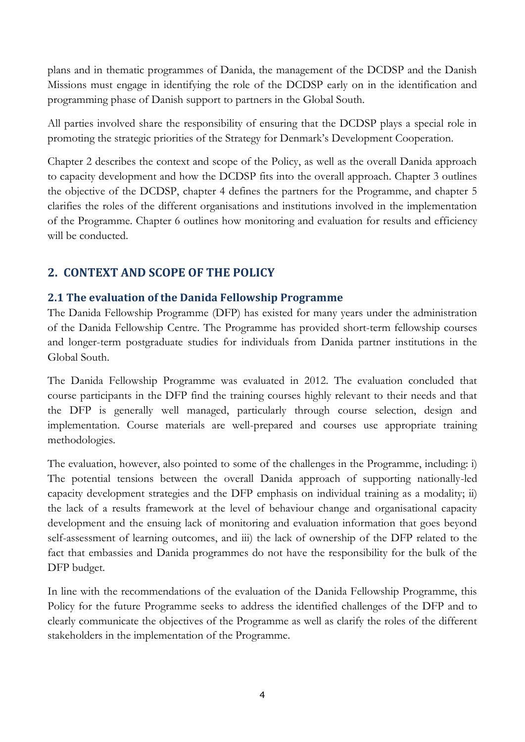plans and in thematic programmes of Danida, the management of the DCDSP and the Danish Missions must engage in identifying the role of the DCDSP early on in the identification and programming phase of Danish support to partners in the Global South.

All parties involved share the responsibility of ensuring that the DCDSP plays a special role in promoting the strategic priorities of the Strategy for Denmark's Development Cooperation.

Chapter 2 describes the context and scope of the Policy, as well as the overall Danida approach to capacity development and how the DCDSP fits into the overall approach. Chapter 3 outlines the objective of the DCDSP, chapter 4 defines the partners for the Programme, and chapter 5 clarifies the roles of the different organisations and institutions involved in the implementation of the Programme. Chapter 6 outlines how monitoring and evaluation for results and efficiency will be conducted.

# <span id="page-3-0"></span>**2. CONTEXT AND SCOPE OF THE POLICY**

## <span id="page-3-1"></span>**2.1 The evaluation of the Danida Fellowship Programme**

The Danida Fellowship Programme (DFP) has existed for many years under the administration of the Danida Fellowship Centre. The Programme has provided short-term fellowship courses and longer-term postgraduate studies for individuals from Danida partner institutions in the Global South.

The Danida Fellowship Programme was evaluated in 2012. The evaluation concluded that course participants in the DFP find the training courses highly relevant to their needs and that the DFP is generally well managed, particularly through course selection, design and implementation. Course materials are well-prepared and courses use appropriate training methodologies.

The evaluation, however, also pointed to some of the challenges in the Programme, including: i) The potential tensions between the overall Danida approach of supporting nationally-led capacity development strategies and the DFP emphasis on individual training as a modality; ii) the lack of a results framework at the level of behaviour change and organisational capacity development and the ensuing lack of monitoring and evaluation information that goes beyond self-assessment of learning outcomes, and iii) the lack of ownership of the DFP related to the fact that embassies and Danida programmes do not have the responsibility for the bulk of the DFP budget.

In line with the recommendations of the evaluation of the Danida Fellowship Programme, this Policy for the future Programme seeks to address the identified challenges of the DFP and to clearly communicate the objectives of the Programme as well as clarify the roles of the different stakeholders in the implementation of the Programme.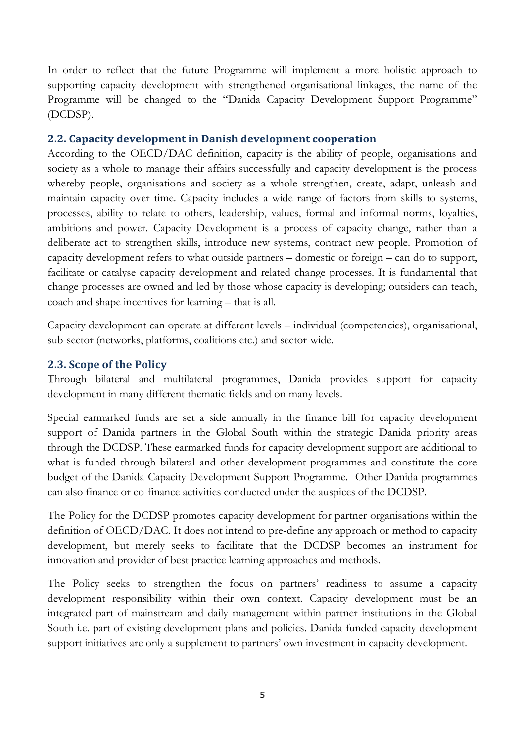In order to reflect that the future Programme will implement a more holistic approach to supporting capacity development with strengthened organisational linkages, the name of the Programme will be changed to the "Danida Capacity Development Support Programme" (DCDSP).

#### <span id="page-4-0"></span>**2.2. Capacity development in Danish development cooperation**

According to the OECD/DAC definition, capacity is the ability of people, organisations and society as a whole to manage their affairs successfully and capacity development is the process whereby people, organisations and society as a whole strengthen, create, adapt, unleash and maintain capacity over time. Capacity includes a wide range of factors from skills to systems, processes, ability to relate to others, leadership, values, formal and informal norms, loyalties, ambitions and power. Capacity Development is a process of capacity change, rather than a deliberate act to strengthen skills, introduce new systems, contract new people. Promotion of capacity development refers to what outside partners – domestic or foreign – can do to support, facilitate or catalyse capacity development and related change processes. It is fundamental that change processes are owned and led by those whose capacity is developing; outsiders can teach, coach and shape incentives for learning – that is all.

Capacity development can operate at different levels – individual (competencies), organisational, sub-sector (networks, platforms, coalitions etc.) and sector-wide.

#### <span id="page-4-1"></span>**2.3. Scope of the Policy**

Through bilateral and multilateral programmes, Danida provides support for capacity development in many different thematic fields and on many levels.

Special earmarked funds are set a side annually in the finance bill for capacity development support of Danida partners in the Global South within the strategic Danida priority areas through the DCDSP. These earmarked funds for capacity development support are additional to what is funded through bilateral and other development programmes and constitute the core budget of the Danida Capacity Development Support Programme. Other Danida programmes can also finance or co-finance activities conducted under the auspices of the DCDSP.

The Policy for the DCDSP promotes capacity development for partner organisations within the definition of OECD/DAC. It does not intend to pre-define any approach or method to capacity development, but merely seeks to facilitate that the DCDSP becomes an instrument for innovation and provider of best practice learning approaches and methods.

The Policy seeks to strengthen the focus on partners' readiness to assume a capacity development responsibility within their own context. Capacity development must be an integrated part of mainstream and daily management within partner institutions in the Global South i.e. part of existing development plans and policies. Danida funded capacity development support initiatives are only a supplement to partners' own investment in capacity development.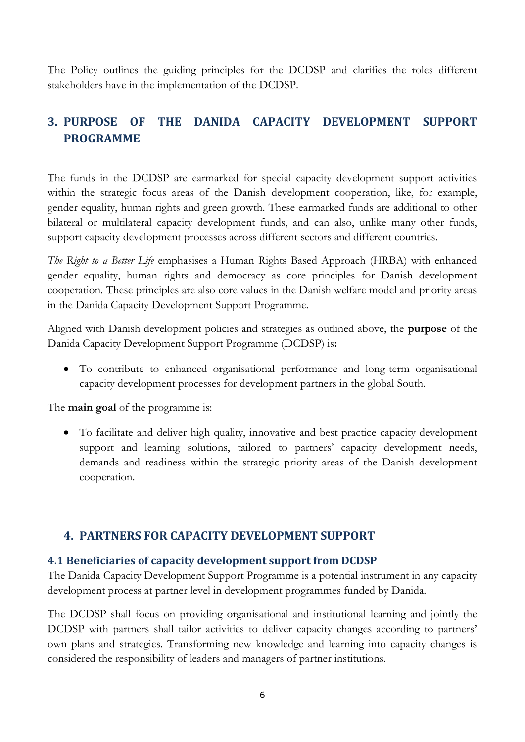The Policy outlines the guiding principles for the DCDSP and clarifies the roles different stakeholders have in the implementation of the DCDSP.

# <span id="page-5-0"></span>**3. PURPOSE OF THE DANIDA CAPACITY DEVELOPMENT SUPPORT PROGRAMME**

The funds in the DCDSP are earmarked for special capacity development support activities within the strategic focus areas of the Danish development cooperation, like, for example, gender equality, human rights and green growth. These earmarked funds are additional to other bilateral or multilateral capacity development funds, and can also, unlike many other funds, support capacity development processes across different sectors and different countries.

*The Right to a Better Life* emphasises a Human Rights Based Approach (HRBA) with enhanced gender equality, human rights and democracy as core principles for Danish development cooperation. These principles are also core values in the Danish welfare model and priority areas in the Danida Capacity Development Support Programme.

Aligned with Danish development policies and strategies as outlined above, the **purpose** of the Danida Capacity Development Support Programme (DCDSP) is**:** 

 To contribute to enhanced organisational performance and long-term organisational capacity development processes for development partners in the global South.

The **main goal** of the programme is:

 To facilitate and deliver high quality, innovative and best practice capacity development support and learning solutions, tailored to partners' capacity development needs, demands and readiness within the strategic priority areas of the Danish development cooperation.

# <span id="page-5-1"></span>**4. PARTNERS FOR CAPACITY DEVELOPMENT SUPPORT**

### <span id="page-5-2"></span>**4.1 Beneficiaries of capacity development support from DCDSP**

The Danida Capacity Development Support Programme is a potential instrument in any capacity development process at partner level in development programmes funded by Danida.

The DCDSP shall focus on providing organisational and institutional learning and jointly the DCDSP with partners shall tailor activities to deliver capacity changes according to partners' own plans and strategies. Transforming new knowledge and learning into capacity changes is considered the responsibility of leaders and managers of partner institutions.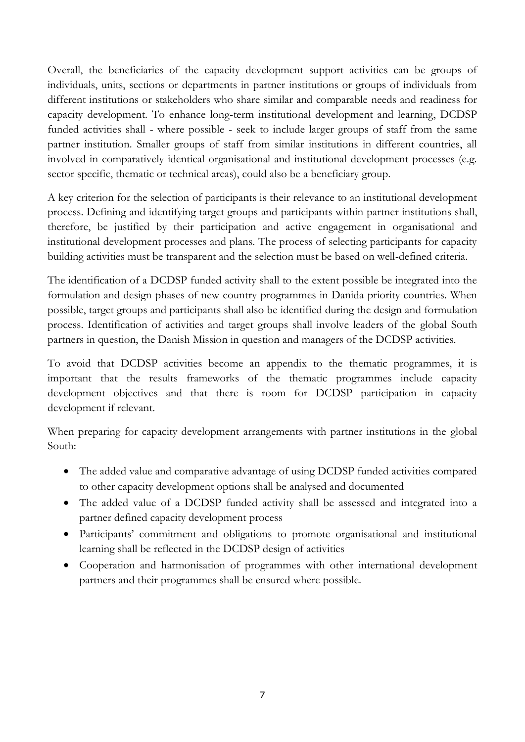Overall, the beneficiaries of the capacity development support activities can be groups of individuals, units, sections or departments in partner institutions or groups of individuals from different institutions or stakeholders who share similar and comparable needs and readiness for capacity development. To enhance long-term institutional development and learning, DCDSP funded activities shall - where possible - seek to include larger groups of staff from the same partner institution. Smaller groups of staff from similar institutions in different countries, all involved in comparatively identical organisational and institutional development processes (e.g. sector specific, thematic or technical areas), could also be a beneficiary group.

A key criterion for the selection of participants is their relevance to an institutional development process. Defining and identifying target groups and participants within partner institutions shall, therefore, be justified by their participation and active engagement in organisational and institutional development processes and plans. The process of selecting participants for capacity building activities must be transparent and the selection must be based on well-defined criteria.

The identification of a DCDSP funded activity shall to the extent possible be integrated into the formulation and design phases of new country programmes in Danida priority countries. When possible, target groups and participants shall also be identified during the design and formulation process. Identification of activities and target groups shall involve leaders of the global South partners in question, the Danish Mission in question and managers of the DCDSP activities.

To avoid that DCDSP activities become an appendix to the thematic programmes, it is important that the results frameworks of the thematic programmes include capacity development objectives and that there is room for DCDSP participation in capacity development if relevant.

When preparing for capacity development arrangements with partner institutions in the global South:

- The added value and comparative advantage of using DCDSP funded activities compared to other capacity development options shall be analysed and documented
- The added value of a DCDSP funded activity shall be assessed and integrated into a partner defined capacity development process
- Participants' commitment and obligations to promote organisational and institutional learning shall be reflected in the DCDSP design of activities
- Cooperation and harmonisation of programmes with other international development partners and their programmes shall be ensured where possible.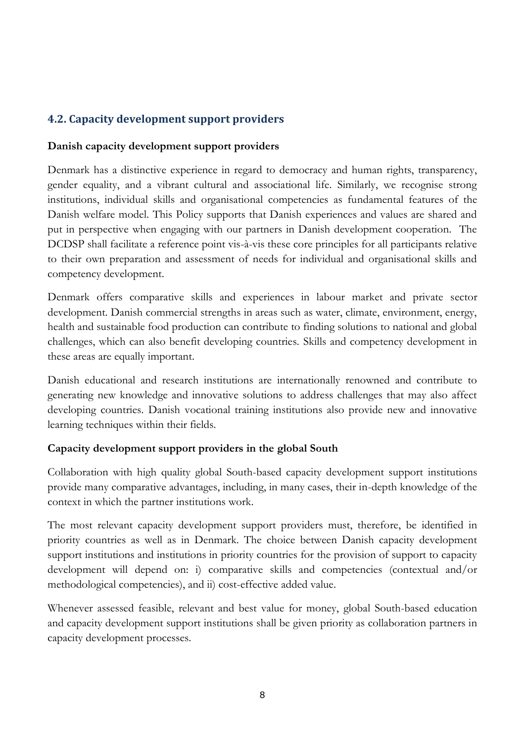# <span id="page-7-0"></span>**4.2. Capacity development support providers**

#### **Danish capacity development support providers**

Denmark has a distinctive experience in regard to democracy and human rights, transparency, gender equality, and a vibrant cultural and associational life. Similarly, we recognise strong institutions, individual skills and organisational competencies as fundamental features of the Danish welfare model. This Policy supports that Danish experiences and values are shared and put in perspective when engaging with our partners in Danish development cooperation. The DCDSP shall facilitate a reference point vis-à-vis these core principles for all participants relative to their own preparation and assessment of needs for individual and organisational skills and competency development.

Denmark offers comparative skills and experiences in labour market and private sector development. Danish commercial strengths in areas such as water, climate, environment, energy, health and sustainable food production can contribute to finding solutions to national and global challenges, which can also benefit developing countries. Skills and competency development in these areas are equally important.

Danish educational and research institutions are internationally renowned and contribute to generating new knowledge and innovative solutions to address challenges that may also affect developing countries. Danish vocational training institutions also provide new and innovative learning techniques within their fields.

### **Capacity development support providers in the global South**

Collaboration with high quality global South-based capacity development support institutions provide many comparative advantages, including, in many cases, their in-depth knowledge of the context in which the partner institutions work.

The most relevant capacity development support providers must, therefore, be identified in priority countries as well as in Denmark. The choice between Danish capacity development support institutions and institutions in priority countries for the provision of support to capacity development will depend on: i) comparative skills and competencies (contextual and/or methodological competencies), and ii) cost-effective added value.

Whenever assessed feasible, relevant and best value for money, global South-based education and capacity development support institutions shall be given priority as collaboration partners in capacity development processes.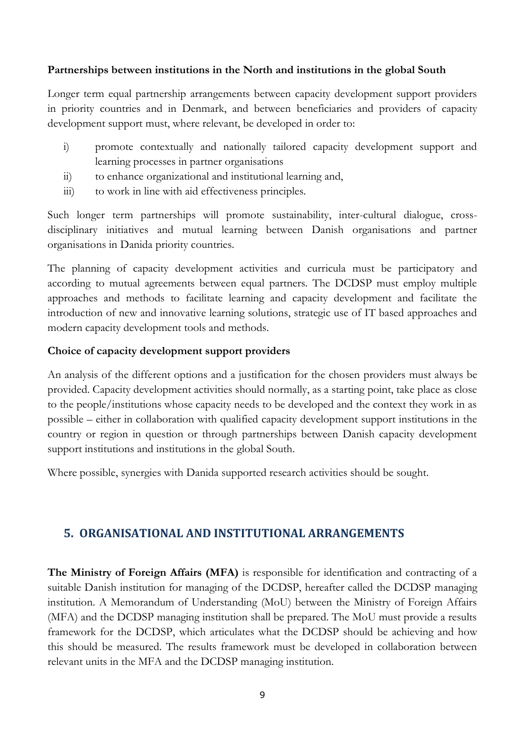#### **Partnerships between institutions in the North and institutions in the global South**

Longer term equal partnership arrangements between capacity development support providers in priority countries and in Denmark, and between beneficiaries and providers of capacity development support must, where relevant, be developed in order to:

- i) promote contextually and nationally tailored capacity development support and learning processes in partner organisations
- ii) to enhance organizational and institutional learning and,
- iii) to work in line with aid effectiveness principles.

Such longer term partnerships will promote sustainability, inter-cultural dialogue, crossdisciplinary initiatives and mutual learning between Danish organisations and partner organisations in Danida priority countries.

The planning of capacity development activities and curricula must be participatory and according to mutual agreements between equal partners. The DCDSP must employ multiple approaches and methods to facilitate learning and capacity development and facilitate the introduction of new and innovative learning solutions, strategic use of IT based approaches and modern capacity development tools and methods.

#### **Choice of capacity development support providers**

An analysis of the different options and a justification for the chosen providers must always be provided. Capacity development activities should normally, as a starting point, take place as close to the people/institutions whose capacity needs to be developed and the context they work in as possible – either in collaboration with qualified capacity development support institutions in the country or region in question or through partnerships between Danish capacity development support institutions and institutions in the global South.

Where possible, synergies with Danida supported research activities should be sought.

# <span id="page-8-0"></span>**5. ORGANISATIONAL AND INSTITUTIONAL ARRANGEMENTS**

**The Ministry of Foreign Affairs (MFA)** is responsible for identification and contracting of a suitable Danish institution for managing of the DCDSP, hereafter called the DCDSP managing institution. A Memorandum of Understanding (MoU) between the Ministry of Foreign Affairs (MFA) and the DCDSP managing institution shall be prepared. The MoU must provide a results framework for the DCDSP, which articulates what the DCDSP should be achieving and how this should be measured. The results framework must be developed in collaboration between relevant units in the MFA and the DCDSP managing institution.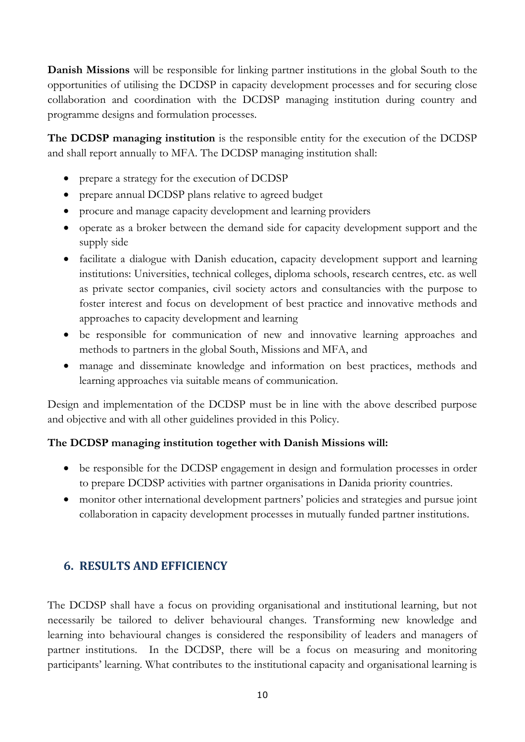**Danish Missions** will be responsible for linking partner institutions in the global South to the opportunities of utilising the DCDSP in capacity development processes and for securing close collaboration and coordination with the DCDSP managing institution during country and programme designs and formulation processes.

**The DCDSP managing institution** is the responsible entity for the execution of the DCDSP and shall report annually to MFA. The DCDSP managing institution shall:

- prepare a strategy for the execution of DCDSP
- prepare annual DCDSP plans relative to agreed budget
- procure and manage capacity development and learning providers
- operate as a broker between the demand side for capacity development support and the supply side
- facilitate a dialogue with Danish education, capacity development support and learning institutions: Universities, technical colleges, diploma schools, research centres, etc. as well as private sector companies, civil society actors and consultancies with the purpose to foster interest and focus on development of best practice and innovative methods and approaches to capacity development and learning
- be responsible for communication of new and innovative learning approaches and methods to partners in the global South, Missions and MFA, and
- manage and disseminate knowledge and information on best practices, methods and learning approaches via suitable means of communication.

Design and implementation of the DCDSP must be in line with the above described purpose and objective and with all other guidelines provided in this Policy.

### **The DCDSP managing institution together with Danish Missions will:**

- be responsible for the DCDSP engagement in design and formulation processes in order to prepare DCDSP activities with partner organisations in Danida priority countries.
- monitor other international development partners' policies and strategies and pursue joint collaboration in capacity development processes in mutually funded partner institutions.

# <span id="page-9-0"></span>**6. RESULTS AND EFFICIENCY**

The DCDSP shall have a focus on providing organisational and institutional learning, but not necessarily be tailored to deliver behavioural changes. Transforming new knowledge and learning into behavioural changes is considered the responsibility of leaders and managers of partner institutions. In the DCDSP, there will be a focus on measuring and monitoring participants' learning. What contributes to the institutional capacity and organisational learning is